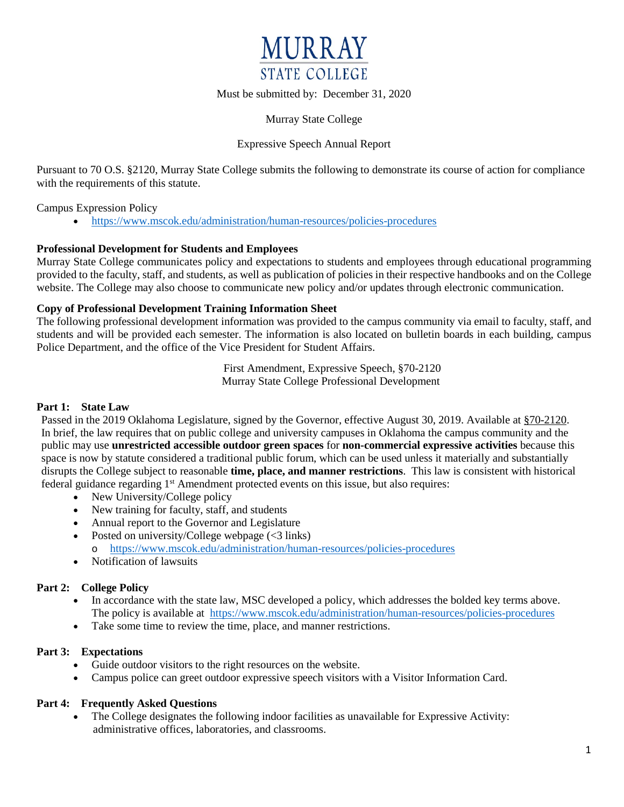

Must be submitted by: December 31, 2020

Murray State College

# Expressive Speech Annual Report

Pursuant to 70 O.S. §2120, Murray State College submits the following to demonstrate its course of action for compliance with the requirements of this statute.

Campus Expression Policy

• <https://www.mscok.edu/administration/human-resources/policies-procedures>

## **Professional Development for Students and Employees**

Murray State College communicates policy and expectations to students and employees through educational programming provided to the faculty, staff, and students, as well as publication of policies in their respective handbooks and on the College website. The College may also choose to communicate new policy and/or updates through electronic communication.

## **Copy of Professional Development Training Information Sheet**

The following professional development information was provided to the campus community via email to faculty, staff, and students and will be provided each semester. The information is also located on bulletin boards in each building, campus Police Department, and the office of the Vice President for Student Affairs.

> First Amendment, Expressive Speech, §70-2120 Murray State College Professional Development

#### **Part 1: State Law**

Passed in the 2019 Oklahoma Legislature, signed by the Governor, effective August 30, 2019. Available at [§70-2120.](http://webserver1.lsb.state.ok.us/cf_pdf/2019-20%20ENR/SB/SB361%20ENR.PDF) In brief, the law requires that on public college and university campuses in Oklahoma the campus community and the public may use **unrestricted accessible outdoor green spaces** for **non-commercial expressive activities** because this space is now by statute considered a traditional public forum, which can be used unless it materially and substantially disrupts the College subject to reasonable **time, place, and manner restrictions**. This law is consistent with historical federal guidance regarding  $1<sup>st</sup>$  Amendment protected events on this issue, but also requires:

- New University/College policy
- New training for faculty, staff, and students
- Annual report to the Governor and Legislature
- Posted on university/College webpage  $(<3$  links) o <https://www.mscok.edu/administration/human-resources/policies-procedures>
- Notification of lawsuits

# **Part 2: College Policy**

- In accordance with the state law, MSC developed a policy, which addresses the bolded key terms above. The policy is available at <https://www.mscok.edu/administration/human-resources/policies-procedures>
- Take some time to review the time, place, and manner restrictions.

# **Part 3: Expectations**

- Guide outdoor visitors to the right resources on the website.
- Campus police can greet outdoor expressive speech visitors with a Visitor Information Card.

# **Part 4: Frequently Asked Questions**

• The College designates the following indoor facilities as unavailable for Expressive Activity: administrative offices, laboratories, and classrooms.